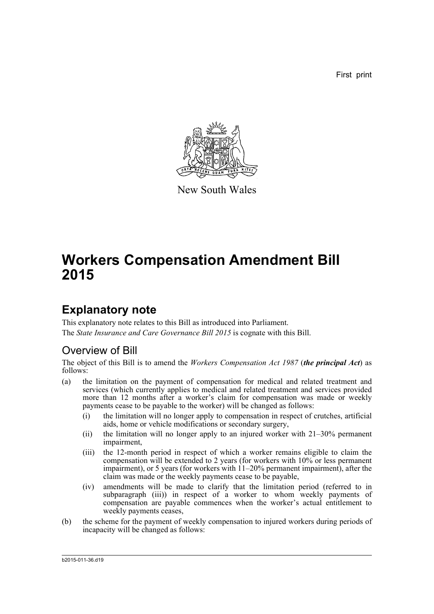First print



New South Wales

## **Workers Compensation Amendment Bill 2015**

## **Explanatory note**

This explanatory note relates to this Bill as introduced into Parliament. The *State Insurance and Care Governance Bill 2015* is cognate with this Bill.

## Overview of Bill

The object of this Bill is to amend the *Workers Compensation Act 1987* (*the principal Act*) as follows:

- (a) the limitation on the payment of compensation for medical and related treatment and services (which currently applies to medical and related treatment and services provided more than 12 months after a worker's claim for compensation was made or weekly payments cease to be payable to the worker) will be changed as follows:
	- (i) the limitation will no longer apply to compensation in respect of crutches, artificial aids, home or vehicle modifications or secondary surgery,
	- (ii) the limitation will no longer apply to an injured worker with 21–30% permanent impairment,
	- (iii) the 12-month period in respect of which a worker remains eligible to claim the compensation will be extended to 2 years (for workers with 10% or less permanent impairment), or 5 years (for workers with 11–20% permanent impairment), after the claim was made or the weekly payments cease to be payable,
	- (iv) amendments will be made to clarify that the limitation period (referred to in subparagraph (iii)) in respect of a worker to whom weekly payments of compensation are payable commences when the worker's actual entitlement to weekly payments ceases,
- (b) the scheme for the payment of weekly compensation to injured workers during periods of incapacity will be changed as follows:

b2015-011-36.d19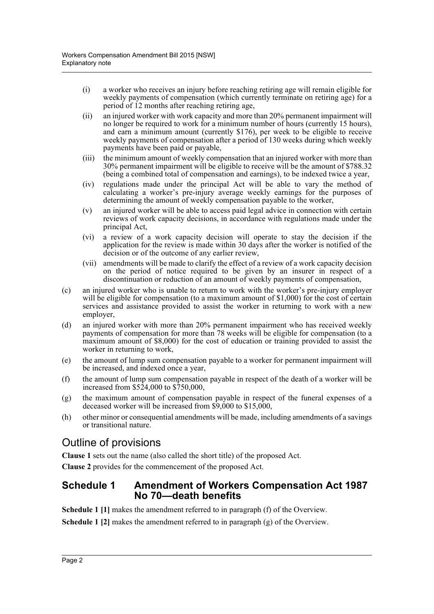- (i) a worker who receives an injury before reaching retiring age will remain eligible for weekly payments of compensation (which currently terminate on retiring age) for a period of 12 months after reaching retiring age,
- (ii) an injured worker with work capacity and more than 20% permanent impairment will no longer be required to work for a minimum number of hours (currently 15 hours), and earn a minimum amount (currently \$176), per week to be eligible to receive weekly payments of compensation after a period of 130 weeks during which weekly payments have been paid or payable,
- (iii) the minimum amount of weekly compensation that an injured worker with more than 30% permanent impairment will be eligible to receive will be the amount of \$788.32 (being a combined total of compensation and earnings), to be indexed twice a year,
- (iv) regulations made under the principal Act will be able to vary the method of calculating a worker's pre-injury average weekly earnings for the purposes of determining the amount of weekly compensation payable to the worker,
- (v) an injured worker will be able to access paid legal advice in connection with certain reviews of work capacity decisions, in accordance with regulations made under the principal Act,
- (vi) a review of a work capacity decision will operate to stay the decision if the application for the review is made within 30 days after the worker is notified of the decision or of the outcome of any earlier review.
- (vii) amendments will be made to clarify the effect of a review of a work capacity decision on the period of notice required to be given by an insurer in respect of a discontinuation or reduction of an amount of weekly payments of compensation,
- (c) an injured worker who is unable to return to work with the worker's pre-injury employer will be eligible for compensation (to a maximum amount of \$1,000) for the cost of certain services and assistance provided to assist the worker in returning to work with a new employer,
- (d) an injured worker with more than 20% permanent impairment who has received weekly payments of compensation for more than 78 weeks will be eligible for compensation (to a maximum amount of \$8,000) for the cost of education or training provided to assist the worker in returning to work,
- (e) the amount of lump sum compensation payable to a worker for permanent impairment will be increased, and indexed once a year,
- (f) the amount of lump sum compensation payable in respect of the death of a worker will be increased from \$524,000 to \$750,000,
- (g) the maximum amount of compensation payable in respect of the funeral expenses of a deceased worker will be increased from \$9,000 to \$15,000,
- (h) other minor or consequential amendments will be made, including amendments of a savings or transitional nature.

## Outline of provisions

**Clause 1** sets out the name (also called the short title) of the proposed Act.

**Clause 2** provides for the commencement of the proposed Act.

## **Schedule 1 Amendment of Workers Compensation Act 1987 No 70—death benefits**

**Schedule 1 [1]** makes the amendment referred to in paragraph (f) of the Overview.

**Schedule 1 [2]** makes the amendment referred to in paragraph (g) of the Overview.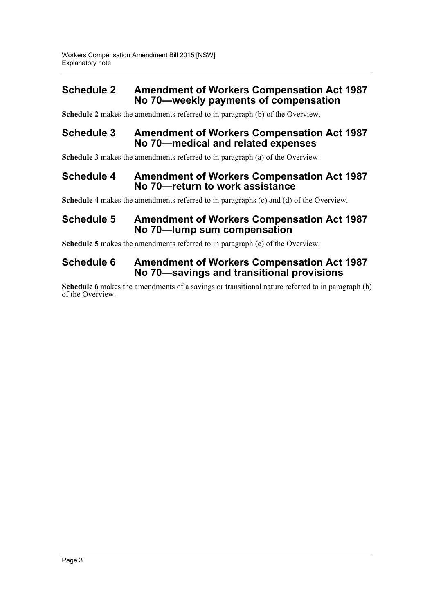## **Schedule 2 Amendment of Workers Compensation Act 1987 No 70—weekly payments of compensation**

**Schedule 2** makes the amendments referred to in paragraph (b) of the Overview.

## **Schedule 3 Amendment of Workers Compensation Act 1987 No 70—medical and related expenses**

**Schedule 3** makes the amendments referred to in paragraph (a) of the Overview.

### **Schedule 4 Amendment of Workers Compensation Act 1987 No 70—return to work assistance**

**Schedule 4** makes the amendments referred to in paragraphs (c) and (d) of the Overview.

## **Schedule 5 Amendment of Workers Compensation Act 1987 No 70—lump sum compensation**

**Schedule 5** makes the amendments referred to in paragraph (e) of the Overview.

## **Schedule 6 Amendment of Workers Compensation Act 1987 No 70—savings and transitional provisions**

**Schedule 6** makes the amendments of a savings or transitional nature referred to in paragraph (h) of the Overview.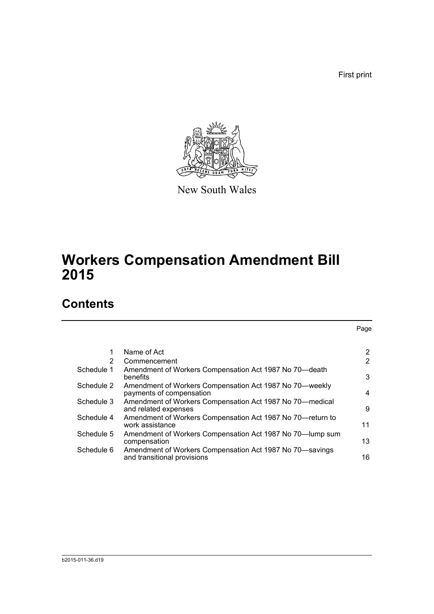First print

Page



New South Wales

# **Workers Compensation Amendment Bill 2015**

## **Contents**

|            | Name of Act                                                                             | 2              |
|------------|-----------------------------------------------------------------------------------------|----------------|
| 2          | Commencement                                                                            | $\overline{2}$ |
| Schedule 1 | Amendment of Workers Compensation Act 1987 No 70-death<br>benefits                      | 3              |
| Schedule 2 | Amendment of Workers Compensation Act 1987 No 70—weekly<br>payments of compensation     | 4              |
| Schedule 3 | Amendment of Workers Compensation Act 1987 No 70—medical<br>and related expenses        | 9              |
| Schedule 4 | Amendment of Workers Compensation Act 1987 No 70—return to<br>work assistance           | 11             |
| Schedule 5 | Amendment of Workers Compensation Act 1987 No 70—lump sum<br>compensation               | 13             |
| Schedule 6 | Amendment of Workers Compensation Act 1987 No 70-savings<br>and transitional provisions | 16             |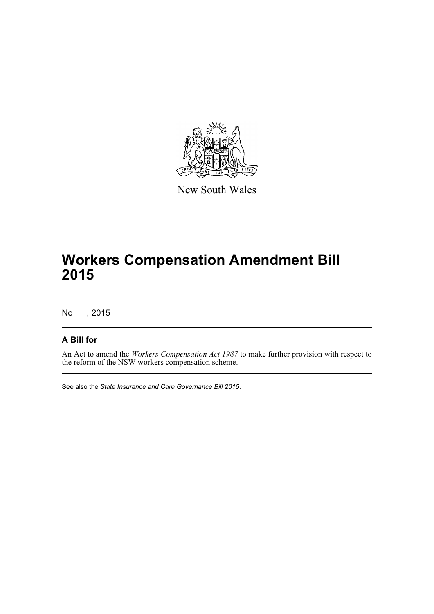

New South Wales

## **Workers Compensation Amendment Bill 2015**

No , 2015

## **A Bill for**

An Act to amend the *Workers Compensation Act 1987* to make further provision with respect to the reform of the NSW workers compensation scheme.

See also the *State Insurance and Care Governance Bill 2015*.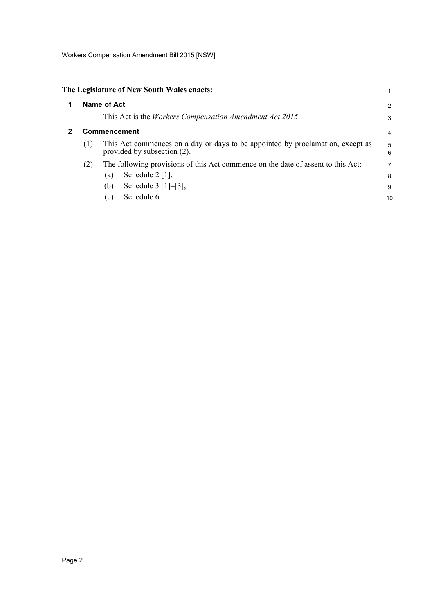<span id="page-5-0"></span>

| The Legislature of New South Wales enacts: |  |
|--------------------------------------------|--|
|--------------------------------------------|--|

<span id="page-5-1"></span>

| $\mathbf 1$ | Name of Act |                                                                                                               |                |  |  |
|-------------|-------------|---------------------------------------------------------------------------------------------------------------|----------------|--|--|
|             |             | This Act is the <i>Workers Compensation Amendment Act 2015</i> .                                              | 3              |  |  |
| 2           |             | <b>Commencement</b>                                                                                           | 4              |  |  |
|             | (1)         | This Act commences on a day or days to be appointed by proclamation, except as<br>provided by subsection (2). | 5<br>6         |  |  |
|             | (2)         | The following provisions of this Act commence on the date of assent to this Act:                              | $\overline{7}$ |  |  |
|             |             | Schedule $2 \lfloor 1 \rfloor$ ,<br>(a)                                                                       | 8              |  |  |
|             |             | Schedule $3 [1]-[3]$ ,<br>(b)                                                                                 | 9              |  |  |
|             |             | Schedule 6.<br>(c)                                                                                            | 10             |  |  |
|             |             |                                                                                                               |                |  |  |

1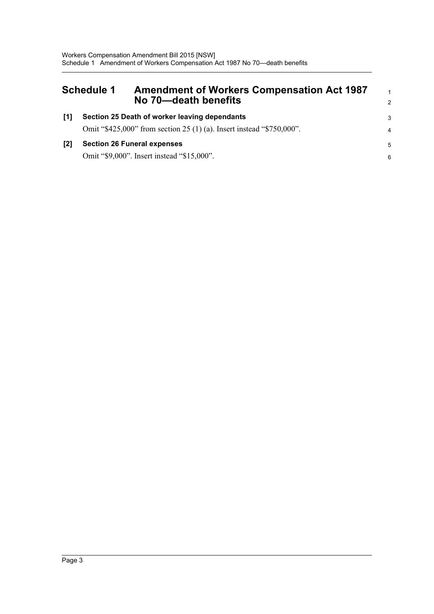<span id="page-6-0"></span>

|     | <b>Schedule 1</b><br><b>Amendment of Workers Compensation Act 1987</b><br>No 70-death benefits                         | $\mathbf{1}$<br>2 |
|-----|------------------------------------------------------------------------------------------------------------------------|-------------------|
| [1] | Section 25 Death of worker leaving dependants<br>Omit "\$425,000" from section 25 (1) (a). Insert instead "\$750,000". | 3<br>4            |
| [2] | <b>Section 26 Funeral expenses</b><br>Omit "\$9,000". Insert instead "\$15,000".                                       | 5<br>-6           |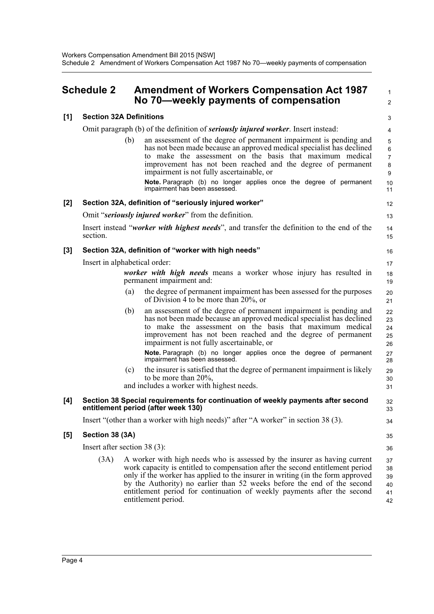<span id="page-7-0"></span>

|       | <b>Schedule 2</b>              |     | <b>Amendment of Workers Compensation Act 1987</b><br>No 70—weekly payments of compensation                                                                                                                                                                                                                                                                                                                                  | $\mathbf{1}$<br>$\overline{2}$           |
|-------|--------------------------------|-----|-----------------------------------------------------------------------------------------------------------------------------------------------------------------------------------------------------------------------------------------------------------------------------------------------------------------------------------------------------------------------------------------------------------------------------|------------------------------------------|
| [1]   | <b>Section 32A Definitions</b> |     |                                                                                                                                                                                                                                                                                                                                                                                                                             | 3                                        |
|       |                                |     | Omit paragraph (b) of the definition of <b><i>seriously injured worker</i></b> . Insert instead:                                                                                                                                                                                                                                                                                                                            | 4                                        |
|       |                                | (b) | an assessment of the degree of permanent impairment is pending and<br>has not been made because an approved medical specialist has declined<br>to make the assessment on the basis that maximum medical<br>improvement has not been reached and the degree of permanent<br>impairment is not fully ascertainable, or<br>Note. Paragraph (b) no longer applies once the degree of permanent<br>impairment has been assessed. | 5<br>6<br>$\overline{7}$<br>8<br>9<br>10 |
|       |                                |     |                                                                                                                                                                                                                                                                                                                                                                                                                             | 11                                       |
| [2]   |                                |     | Section 32A, definition of "seriously injured worker"                                                                                                                                                                                                                                                                                                                                                                       | 12                                       |
|       |                                |     | Omit "seriously injured worker" from the definition.                                                                                                                                                                                                                                                                                                                                                                        | 13                                       |
|       | section.                       |     | Insert instead "worker with highest needs", and transfer the definition to the end of the                                                                                                                                                                                                                                                                                                                                   | 14<br>15                                 |
| $[3]$ |                                |     | Section 32A, definition of "worker with high needs"                                                                                                                                                                                                                                                                                                                                                                         | 16                                       |
|       | Insert in alphabetical order:  |     |                                                                                                                                                                                                                                                                                                                                                                                                                             | 17                                       |
|       |                                |     | worker with high needs means a worker whose injury has resulted in<br>permanent impairment and:                                                                                                                                                                                                                                                                                                                             | 18<br>19                                 |
|       |                                | (a) | the degree of permanent impairment has been assessed for the purposes<br>of Division 4 to be more than 20%, or                                                                                                                                                                                                                                                                                                              | 20<br>21                                 |
|       |                                | (b) | an assessment of the degree of permanent impairment is pending and<br>has not been made because an approved medical specialist has declined<br>to make the assessment on the basis that maximum medical<br>improvement has not been reached and the degree of permanent<br>impairment is not fully ascertainable, or                                                                                                        | 22<br>23<br>24<br>25<br>26               |
|       |                                |     | Note. Paragraph (b) no longer applies once the degree of permanent<br>impairment has been assessed.                                                                                                                                                                                                                                                                                                                         | 27<br>28                                 |
|       |                                | (c) | the insurer is satisfied that the degree of permanent impairment is likely<br>to be more than $20\%$ ,<br>and includes a worker with highest needs.                                                                                                                                                                                                                                                                         | 29<br>30<br>31                           |
| [4]   |                                |     | Section 38 Special requirements for continuation of weekly payments after second<br>entitlement period (after week 130)                                                                                                                                                                                                                                                                                                     | 32<br>33                                 |
|       |                                |     | Insert "(other than a worker with high needs)" after "A worker" in section 38 (3).                                                                                                                                                                                                                                                                                                                                          | 34                                       |
| [5]   | Section 38 (3A)                |     |                                                                                                                                                                                                                                                                                                                                                                                                                             | 35                                       |
|       | Insert after section $38(3)$ : |     |                                                                                                                                                                                                                                                                                                                                                                                                                             | 36                                       |
|       | (3A)                           |     | A worker with high needs who is assessed by the insurer as having current<br>work capacity is entitled to compensation after the second entitlement period<br>only if the worker has applied to the insurer in writing (in the form approved<br>by the Authority) no earlier than 52 weeks before the end of the second<br>entitlement period for continuation of weekly payments after the second<br>entitlement period.   | 37<br>38<br>39<br>40<br>41<br>42         |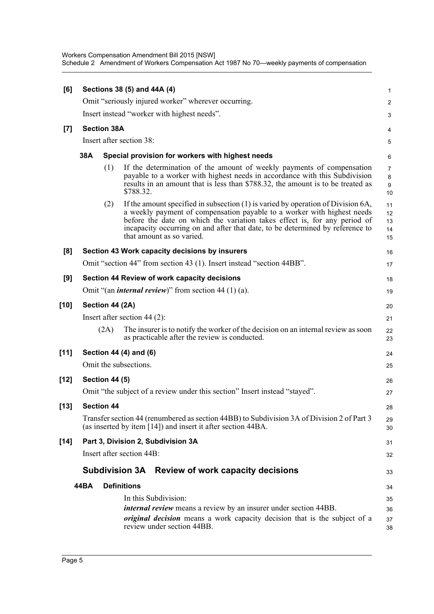Workers Compensation Amendment Bill 2015 [NSW] Schedule 2 Amendment of Workers Compensation Act 1987 No 70—weekly payments of compensation

| [6]    | Sections 38 (5) and 44A (4) |                       |                                                                                                                                                                                                                                                                                                                                                        |                                      |  |  |  |
|--------|-----------------------------|-----------------------|--------------------------------------------------------------------------------------------------------------------------------------------------------------------------------------------------------------------------------------------------------------------------------------------------------------------------------------------------------|--------------------------------------|--|--|--|
|        |                             |                       | Omit "seriously injured worker" wherever occurring.                                                                                                                                                                                                                                                                                                    | 2                                    |  |  |  |
|        |                             |                       | Insert instead "worker with highest needs".                                                                                                                                                                                                                                                                                                            | 3                                    |  |  |  |
| $[7]$  |                             | <b>Section 38A</b>    |                                                                                                                                                                                                                                                                                                                                                        | 4                                    |  |  |  |
|        |                             |                       | Insert after section 38:                                                                                                                                                                                                                                                                                                                               | $\mathbf 5$                          |  |  |  |
|        | 38A                         |                       | Special provision for workers with highest needs                                                                                                                                                                                                                                                                                                       | 6                                    |  |  |  |
|        |                             | (1)                   | If the determination of the amount of weekly payments of compensation<br>payable to a worker with highest needs in accordance with this Subdivision<br>results in an amount that is less than \$788.32, the amount is to be treated as<br>\$788.32.                                                                                                    | $\overline{7}$<br>$\bf 8$<br>9<br>10 |  |  |  |
|        |                             | (2)                   | If the amount specified in subsection (1) is varied by operation of Division 6A,<br>a weekly payment of compensation payable to a worker with highest needs<br>before the date on which the variation takes effect is, for any period of<br>incapacity occurring on and after that date, to be determined by reference to<br>that amount as so varied. | 11<br>12<br>13<br>14<br>15           |  |  |  |
| [8]    |                             |                       | Section 43 Work capacity decisions by insurers                                                                                                                                                                                                                                                                                                         | 16                                   |  |  |  |
|        |                             |                       | Omit "section 44" from section 43 (1). Insert instead "section 44BB".                                                                                                                                                                                                                                                                                  | 17                                   |  |  |  |
| [9]    |                             |                       | Section 44 Review of work capacity decisions                                                                                                                                                                                                                                                                                                           | 18                                   |  |  |  |
|        |                             |                       | Omit "(an <i>internal review</i> )" from section 44 (1) (a).                                                                                                                                                                                                                                                                                           | 19                                   |  |  |  |
| [10]   |                             | Section 44 (2A)       |                                                                                                                                                                                                                                                                                                                                                        | 20                                   |  |  |  |
|        |                             |                       | Insert after section 44 $(2)$ :                                                                                                                                                                                                                                                                                                                        | 21                                   |  |  |  |
|        |                             | (2A)                  | The insurer is to notify the worker of the decision on an internal review as soon<br>as practicable after the review is conducted.                                                                                                                                                                                                                     | 22<br>23                             |  |  |  |
| $[11]$ |                             |                       | Section 44 (4) and (6)                                                                                                                                                                                                                                                                                                                                 | 24                                   |  |  |  |
|        |                             |                       | Omit the subsections.                                                                                                                                                                                                                                                                                                                                  | 25                                   |  |  |  |
| [12]   |                             | <b>Section 44 (5)</b> |                                                                                                                                                                                                                                                                                                                                                        | 26                                   |  |  |  |
|        |                             |                       | Omit "the subject of a review under this section" Insert instead "stayed".                                                                                                                                                                                                                                                                             | 27                                   |  |  |  |
| [13]   |                             | <b>Section 44</b>     |                                                                                                                                                                                                                                                                                                                                                        | 28                                   |  |  |  |
|        |                             |                       | Transfer section 44 (renumbered as section 44BB) to Subdivision 3A of Division 2 of Part 3<br>(as inserted by item [14]) and insert it after section 44BA.                                                                                                                                                                                             | 29<br>30                             |  |  |  |
| [14]   |                             |                       | Part 3, Division 2, Subdivision 3A                                                                                                                                                                                                                                                                                                                     | 31                                   |  |  |  |
|        |                             |                       | Insert after section 44B:                                                                                                                                                                                                                                                                                                                              | 32                                   |  |  |  |
|        |                             |                       | <b>Subdivision 3A</b><br>Review of work capacity decisions                                                                                                                                                                                                                                                                                             | 33                                   |  |  |  |
|        | 44BA                        |                       | <b>Definitions</b>                                                                                                                                                                                                                                                                                                                                     | 34                                   |  |  |  |
|        |                             |                       | In this Subdivision:                                                                                                                                                                                                                                                                                                                                   | 35                                   |  |  |  |
|        |                             |                       | <i>internal review</i> means a review by an insurer under section 44BB.<br>original decision means a work capacity decision that is the subject of a<br>review under section 44BB.                                                                                                                                                                     | 36<br>37<br>38                       |  |  |  |
|        |                             |                       |                                                                                                                                                                                                                                                                                                                                                        |                                      |  |  |  |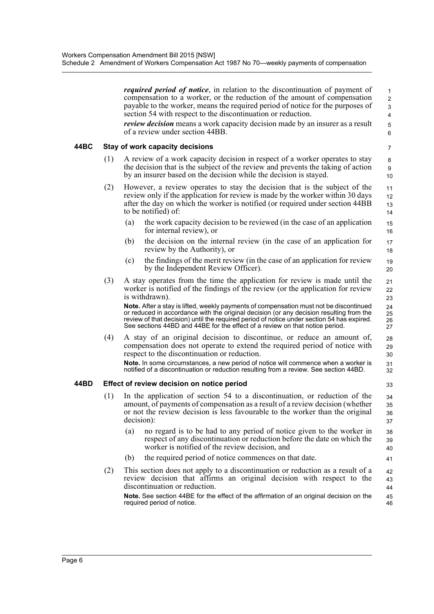|      |     | <i>required period of notice</i> , in relation to the discontinuation of payment of<br>compensation to a worker, or the reduction of the amount of compensation<br>payable to the worker, means the required period of notice for the purposes of<br>section 54 with respect to the discontinuation or reduction.<br><i>review decision</i> means a work capacity decision made by an insurer as a result<br>of a review under section 44BB. | $\mathbf{1}$<br>$\overline{2}$<br>3<br>$\overline{4}$<br>$\sqrt{5}$<br>6 |
|------|-----|----------------------------------------------------------------------------------------------------------------------------------------------------------------------------------------------------------------------------------------------------------------------------------------------------------------------------------------------------------------------------------------------------------------------------------------------|--------------------------------------------------------------------------|
| 44BC |     | Stay of work capacity decisions                                                                                                                                                                                                                                                                                                                                                                                                              | 7                                                                        |
|      | (1) | A review of a work capacity decision in respect of a worker operates to stay<br>the decision that is the subject of the review and prevents the taking of action<br>by an insurer based on the decision while the decision is stayed.                                                                                                                                                                                                        | 8<br>9<br>10                                                             |
|      | (2) | However, a review operates to stay the decision that is the subject of the<br>review only if the application for review is made by the worker within 30 days<br>after the day on which the worker is notified (or required under section 44BB)<br>to be notified) of:                                                                                                                                                                        | 11<br>12<br>13<br>14                                                     |
|      |     | the work capacity decision to be reviewed (in the case of an application<br>(a)<br>for internal review), or                                                                                                                                                                                                                                                                                                                                  | 15<br>16                                                                 |
|      |     | (b)<br>the decision on the internal review (in the case of an application for<br>review by the Authority), or                                                                                                                                                                                                                                                                                                                                | 17<br>18                                                                 |
|      |     | the findings of the merit review (in the case of an application for review<br>(c)<br>by the Independent Review Officer).                                                                                                                                                                                                                                                                                                                     | 19<br>20                                                                 |
|      | (3) | A stay operates from the time the application for review is made until the<br>worker is notified of the findings of the review (or the application for review<br>is withdrawn).                                                                                                                                                                                                                                                              | 21<br>22<br>23                                                           |
|      |     | Note. After a stay is lifted, weekly payments of compensation must not be discontinued<br>or reduced in accordance with the original decision (or any decision resulting from the<br>review of that decision) until the required period of notice under section 54 has expired.<br>See sections 44BD and 44BE for the effect of a review on that notice period.                                                                              | 24<br>25<br>26<br>27                                                     |
|      | (4) | A stay of an original decision to discontinue, or reduce an amount of,<br>compensation does not operate to extend the required period of notice with<br>respect to the discontinuation or reduction.                                                                                                                                                                                                                                         | 28<br>29<br>30                                                           |
|      |     | Note. In some circumstances, a new period of notice will commence when a worker is<br>notified of a discontinuation or reduction resulting from a review. See section 44BD.                                                                                                                                                                                                                                                                  | 31<br>32                                                                 |
| 44BD |     | Effect of review decision on notice period                                                                                                                                                                                                                                                                                                                                                                                                   | 33                                                                       |
|      | (1) | In the application of section 54 to a discontinuation, or reduction of the<br>amount, of payments of compensation as a result of a review decision (whether<br>or not the review decision is less favourable to the worker than the original<br>decision):                                                                                                                                                                                   | 34<br>35<br>36<br>37                                                     |
|      |     | (a)<br>no regard is to be had to any period of notice given to the worker in<br>respect of any discontinuation or reduction before the date on which the<br>worker is notified of the review decision, and                                                                                                                                                                                                                                   | 38<br>39<br>40                                                           |
|      |     | the required period of notice commences on that date.<br>(b)                                                                                                                                                                                                                                                                                                                                                                                 | 41                                                                       |
|      | (2) | This section does not apply to a discontinuation or reduction as a result of a<br>review decision that affirms an original decision with respect to the<br>discontinuation or reduction.                                                                                                                                                                                                                                                     | 42<br>43<br>44                                                           |
|      |     | Note. See section 44BE for the effect of the affirmation of an original decision on the<br>required period of notice.                                                                                                                                                                                                                                                                                                                        | 45<br>46                                                                 |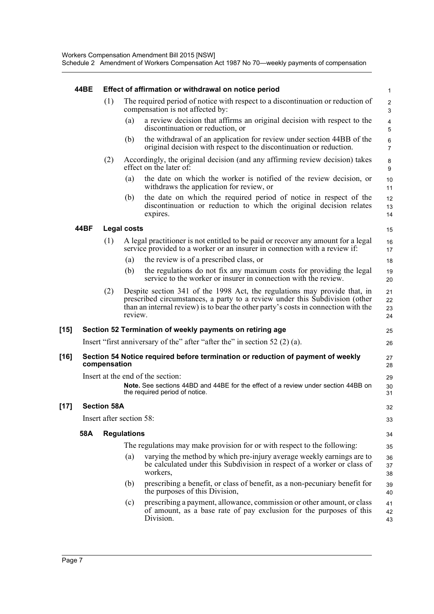#### **44BE Effect of affirmation or withdrawal on notice period**

|        | 44BE |                          |                    | Effect of affirmation or withdrawal on notice period                                                                                                                                                                                           | $\mathbf{1}$         |
|--------|------|--------------------------|--------------------|------------------------------------------------------------------------------------------------------------------------------------------------------------------------------------------------------------------------------------------------|----------------------|
|        |      | (1)                      |                    | The required period of notice with respect to a discontinuation or reduction of<br>compensation is not affected by:                                                                                                                            | $\overline{2}$<br>3  |
|        |      |                          | (a)                | a review decision that affirms an original decision with respect to the<br>discontinuation or reduction, or                                                                                                                                    | 4<br>5               |
|        |      |                          | (b)                | the withdrawal of an application for review under section 44BB of the<br>original decision with respect to the discontinuation or reduction.                                                                                                   | 6<br>$\overline{7}$  |
|        |      | (2)                      |                    | Accordingly, the original decision (and any affirming review decision) takes<br>effect on the later of:                                                                                                                                        | 8<br>9               |
|        |      |                          | (a)                | the date on which the worker is notified of the review decision, or<br>withdraws the application for review, or                                                                                                                                | 10<br>11             |
|        |      |                          | (b)                | the date on which the required period of notice in respect of the<br>discontinuation or reduction to which the original decision relates<br>expires.                                                                                           | 12<br>13<br>14       |
|        | 44BF |                          | <b>Legal costs</b> |                                                                                                                                                                                                                                                | 15                   |
|        |      | (1)                      |                    | A legal practitioner is not entitled to be paid or recover any amount for a legal<br>service provided to a worker or an insurer in connection with a review if:                                                                                | 16<br>17             |
|        |      |                          | (a)                | the review is of a prescribed class, or                                                                                                                                                                                                        | 18                   |
|        |      |                          | (b)                | the regulations do not fix any maximum costs for providing the legal<br>service to the worker or insurer in connection with the review.                                                                                                        | 19<br>20             |
|        |      | (2)                      | review.            | Despite section 341 of the 1998 Act, the regulations may provide that, in<br>prescribed circumstances, a party to a review under this Subdivision (other<br>than an internal review) is to bear the other party's costs in connection with the | 21<br>22<br>23<br>24 |
| $[15]$ |      |                          |                    | Section 52 Termination of weekly payments on retiring age                                                                                                                                                                                      | 25                   |
|        |      |                          |                    | Insert "first anniversary of the" after "after the" in section $52(2)(a)$ .                                                                                                                                                                    | 26                   |
| $[16]$ |      | compensation             |                    | Section 54 Notice required before termination or reduction of payment of weekly                                                                                                                                                                | 27<br>28             |
|        |      |                          |                    | Insert at the end of the section:                                                                                                                                                                                                              | 29                   |
|        |      |                          |                    | Note. See sections 44BD and 44BE for the effect of a review under section 44BB on<br>the required period of notice.                                                                                                                            | 30<br>31             |
| $[17]$ |      | <b>Section 58A</b>       |                    |                                                                                                                                                                                                                                                | 32                   |
|        |      | Insert after section 58: |                    |                                                                                                                                                                                                                                                | 33                   |
|        | 58A  |                          | <b>Regulations</b> |                                                                                                                                                                                                                                                | 34                   |
|        |      |                          |                    | The regulations may make provision for or with respect to the following:                                                                                                                                                                       | 35                   |
|        |      |                          | (a)                | varying the method by which pre-injury average weekly earnings are to<br>be calculated under this Subdivision in respect of a worker or class of<br>workers,                                                                                   | 36<br>37<br>38       |
|        |      |                          | (b)                | prescribing a benefit, or class of benefit, as a non-pecuniary benefit for<br>the purposes of this Division,                                                                                                                                   | 39<br>40             |
|        |      |                          | (c)                | prescribing a payment, allowance, commission or other amount, or class<br>of amount, as a base rate of pay exclusion for the purposes of this<br>Division.                                                                                     | 41<br>42<br>43       |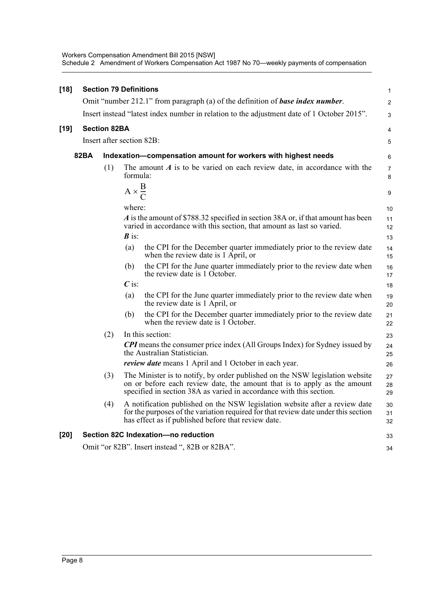| [18] | <b>Section 79 Definitions</b><br>$\mathbf{1}$ |                                                                                            |                        |                                                                                                                                                                                                                                 |                     |  |
|------|-----------------------------------------------|--------------------------------------------------------------------------------------------|------------------------|---------------------------------------------------------------------------------------------------------------------------------------------------------------------------------------------------------------------------------|---------------------|--|
|      |                                               |                                                                                            |                        | Omit "number 212.1" from paragraph (a) of the definition of base index number.                                                                                                                                                  | $\overline{2}$      |  |
|      |                                               | Insert instead "latest index number in relation to the adjustment date of 1 October 2015". |                        |                                                                                                                                                                                                                                 |                     |  |
| [19] |                                               | <b>Section 82BA</b>                                                                        |                        |                                                                                                                                                                                                                                 | 4                   |  |
|      |                                               | Insert after section 82B:                                                                  |                        |                                                                                                                                                                                                                                 | 5                   |  |
|      | 82BA                                          |                                                                                            |                        | Indexation-compensation amount for workers with highest needs                                                                                                                                                                   | 6                   |  |
|      |                                               | (1)                                                                                        | formula:               | The amount $A$ is to be varied on each review date, in accordance with the                                                                                                                                                      | $\overline{7}$<br>8 |  |
|      |                                               |                                                                                            | $A \times \frac{B}{C}$ |                                                                                                                                                                                                                                 | 9                   |  |
|      |                                               |                                                                                            | where:                 |                                                                                                                                                                                                                                 | 10                  |  |
|      |                                               |                                                                                            | $\boldsymbol{B}$ is:   | A is the amount of \$788.32 specified in section 38A or, if that amount has been<br>varied in accordance with this section, that amount as last so varied.                                                                      | 11<br>12<br>13      |  |
|      |                                               |                                                                                            | (a)                    | the CPI for the December quarter immediately prior to the review date<br>when the review date is 1 April, or                                                                                                                    | 14<br>15            |  |
|      |                                               |                                                                                            | (b)                    | the CPI for the June quarter immediately prior to the review date when<br>the review date is 1 October.                                                                                                                         | 16<br>17            |  |
|      |                                               |                                                                                            | $\overline{C}$ is:     |                                                                                                                                                                                                                                 | 18                  |  |
|      |                                               |                                                                                            | (a)                    | the CPI for the June quarter immediately prior to the review date when<br>the review date is 1 April, or                                                                                                                        | 19<br>20            |  |
|      |                                               |                                                                                            | (b)                    | the CPI for the December quarter immediately prior to the review date<br>when the review date is 1 October.                                                                                                                     | 21<br>22            |  |
|      |                                               | (2)                                                                                        |                        | In this section:                                                                                                                                                                                                                | 23                  |  |
|      |                                               |                                                                                            |                        | <b>CPI</b> means the consumer price index (All Groups Index) for Sydney issued by<br>the Australian Statistician.                                                                                                               | 24<br>25            |  |
|      |                                               |                                                                                            |                        | <i>review date</i> means 1 April and 1 October in each year.                                                                                                                                                                    | 26                  |  |
|      |                                               | (3)                                                                                        |                        | The Minister is to notify, by order published on the NSW legislation website<br>on or before each review date, the amount that is to apply as the amount<br>specified in section 38A as varied in accordance with this section. | 27<br>28<br>29      |  |
|      |                                               | (4)                                                                                        |                        | A notification published on the NSW legislation website after a review date<br>for the purposes of the variation required for that review date under this section<br>has effect as if published before that review date.        | 30<br>31<br>32      |  |
| [20] |                                               |                                                                                            |                        | Section 82C Indexation-no reduction                                                                                                                                                                                             | 33                  |  |
|      |                                               |                                                                                            |                        | Omit "or 82B". Insert instead ", 82B or 82BA".                                                                                                                                                                                  | 34                  |  |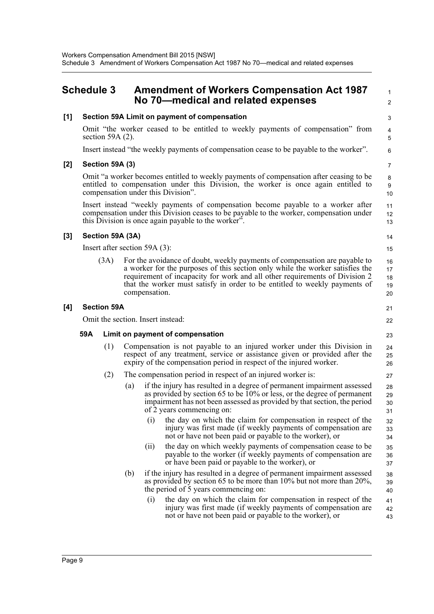## <span id="page-12-0"></span>**Schedule 3 Amendment of Workers Compensation Act 1987 No 70—medical and related expenses**

 1  $\overline{2}$ 

14 15

21 22

### **[1] Section 59A Limit on payment of compensation** Omit "the worker ceased to be entitled to weekly payments of compensation" from section 59A (2).

Insert instead "the weekly payments of compensation cease to be payable to the worker".

### **[2] Section 59A (3)**

Omit "a worker becomes entitled to weekly payments of compensation after ceasing to be entitled to compensation under this Division, the worker is once again entitled to compensation under this Division".

Insert instead "weekly payments of compensation become payable to a worker after compensation under this Division ceases to be payable to the worker, compensation under this Division is once again payable to the worker".

### **[3] Section 59A (3A)**

Insert after section 59A (3):

(3A) For the avoidance of doubt, weekly payments of compensation are payable to a worker for the purposes of this section only while the worker satisfies the requirement of incapacity for work and all other requirements of Division 2 that the worker must satisfy in order to be entitled to weekly payments of compensation. 16 17 18 19 20

#### **[4] Section 59A**

Omit the section. Insert instead:

#### **59A Limit on payment of compensation**

- (1) Compensation is not payable to an injured worker under this Division in respect of any treatment, service or assistance given or provided after the expiry of the compensation period in respect of the injured worker.
- (2) The compensation period in respect of an injured worker is:
	- (a) if the injury has resulted in a degree of permanent impairment assessed as provided by section 65 to be 10% or less, or the degree of permanent impairment has not been assessed as provided by that section, the period of 2 years commencing on:
		- (i) the day on which the claim for compensation in respect of the injury was first made (if weekly payments of compensation are not or have not been paid or payable to the worker), or
		- (ii) the day on which weekly payments of compensation cease to be payable to the worker (if weekly payments of compensation are or have been paid or payable to the worker), or
	- (b) if the injury has resulted in a degree of permanent impairment assessed as provided by section 65 to be more than 10% but not more than 20%, the period of 5 years commencing on: 38 39 40
		- (i) the day on which the claim for compensation in respect of the injury was first made (if weekly payments of compensation are not or have not been paid or payable to the worker), or 41 42 43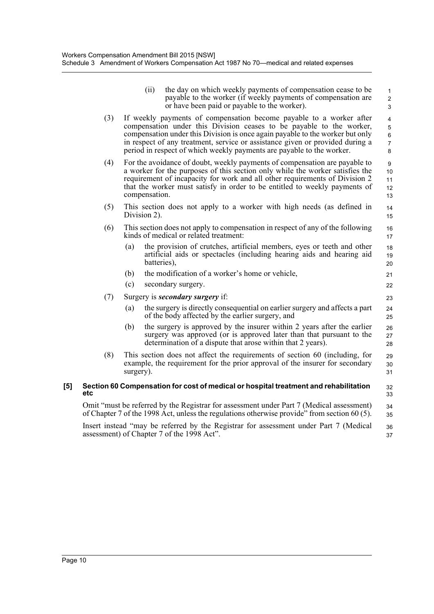|     |     | (ii)               | the day on which weekly payments of compensation cease to be<br>payable to the worker (if weekly payments of compensation are<br>or have been paid or payable to the worker).                                                                                                                                                                                                          | $\mathbf{1}$<br>$\overline{2}$<br>3                          |
|-----|-----|--------------------|----------------------------------------------------------------------------------------------------------------------------------------------------------------------------------------------------------------------------------------------------------------------------------------------------------------------------------------------------------------------------------------|--------------------------------------------------------------|
|     | (3) |                    | If weekly payments of compensation become payable to a worker after<br>compensation under this Division ceases to be payable to the worker,<br>compensation under this Division is once again payable to the worker but only<br>in respect of any treatment, service or assistance given or provided during a<br>period in respect of which weekly payments are payable to the worker. | $\overline{4}$<br>$\overline{5}$<br>6<br>$\overline{7}$<br>8 |
|     | (4) | compensation.      | For the avoidance of doubt, weekly payments of compensation are payable to<br>a worker for the purposes of this section only while the worker satisfies the<br>requirement of incapacity for work and all other requirements of Division 2<br>that the worker must satisfy in order to be entitled to weekly payments of                                                               | 9<br>10<br>11<br>12<br>13                                    |
|     | (5) | Division 2).       | This section does not apply to a worker with high needs (as defined in                                                                                                                                                                                                                                                                                                                 | 14<br>15                                                     |
|     | (6) |                    | This section does not apply to compensation in respect of any of the following<br>kinds of medical or related treatment:                                                                                                                                                                                                                                                               | 16<br>17                                                     |
|     |     | (a)<br>batteries), | the provision of crutches, artificial members, eyes or teeth and other<br>artificial aids or spectacles (including hearing aids and hearing aid                                                                                                                                                                                                                                        | 18<br>19<br>20                                               |
|     |     | (b)                | the modification of a worker's home or vehicle,                                                                                                                                                                                                                                                                                                                                        | 21                                                           |
|     |     | (c)                | secondary surgery.                                                                                                                                                                                                                                                                                                                                                                     | 22                                                           |
|     | (7) |                    | Surgery is <b><i>secondary surgery</i></b> if:                                                                                                                                                                                                                                                                                                                                         | 23                                                           |
|     |     | (a)                | the surgery is directly consequential on earlier surgery and affects a part<br>of the body affected by the earlier surgery, and                                                                                                                                                                                                                                                        | 24<br>25                                                     |
|     |     | (b)                | the surgery is approved by the insurer within 2 years after the earlier<br>surgery was approved (or is approved later than that pursuant to the<br>determination of a dispute that arose within that 2 years).                                                                                                                                                                         | 26<br>27<br>28                                               |
|     | (8) | surgery).          | This section does not affect the requirements of section 60 (including, for<br>example, the requirement for the prior approval of the insurer for secondary                                                                                                                                                                                                                            | 29<br>30<br>31                                               |
| [5] | etc |                    | Section 60 Compensation for cost of medical or hospital treatment and rehabilitation                                                                                                                                                                                                                                                                                                   | 32<br>33                                                     |
|     |     |                    | Omit "must be referred by the Registrar for assessment under Part 7 (Medical assessment)<br>of Chapter 7 of the 1998 Act, unless the regulations otherwise provide" from section 60 (5).                                                                                                                                                                                               | 34<br>35                                                     |
|     |     |                    | Insert instead "may be referred by the Registrar for assessment under Part 7 (Medical                                                                                                                                                                                                                                                                                                  | 36                                                           |

37

assessment) of Chapter 7 of the 1998 Act".

Page 10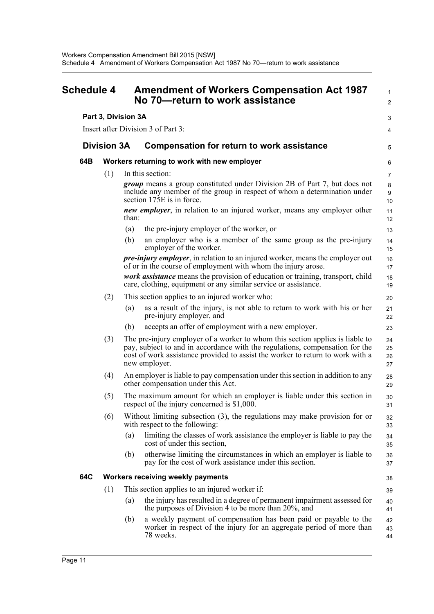<span id="page-14-0"></span>

| <b>Schedule 4</b> |                     |       | <b>Amendment of Workers Compensation Act 1987</b><br>No 70-return to work assistance                                                                                                                                                                             | $\mathbf{1}$<br>2    |
|-------------------|---------------------|-------|------------------------------------------------------------------------------------------------------------------------------------------------------------------------------------------------------------------------------------------------------------------|----------------------|
|                   | Part 3, Division 3A |       |                                                                                                                                                                                                                                                                  | 3                    |
|                   |                     |       | Insert after Division 3 of Part 3:                                                                                                                                                                                                                               | 4                    |
|                   | <b>Division 3A</b>  |       | <b>Compensation for return to work assistance</b>                                                                                                                                                                                                                | 5                    |
| 64B               |                     |       | Workers returning to work with new employer                                                                                                                                                                                                                      | 6                    |
|                   | (1)                 |       | In this section:                                                                                                                                                                                                                                                 | $\overline{7}$       |
|                   |                     |       | <i>group</i> means a group constituted under Division 2B of Part 7, but does not<br>include any member of the group in respect of whom a determination under<br>section 175E is in force.                                                                        | 8<br>9<br>10         |
|                   |                     | than: | new employer, in relation to an injured worker, means any employer other                                                                                                                                                                                         | 11<br>12             |
|                   |                     | (a)   | the pre-injury employer of the worker, or                                                                                                                                                                                                                        | 13                   |
|                   |                     | (b)   | an employer who is a member of the same group as the pre-injury<br>employer of the worker.                                                                                                                                                                       | 14<br>15             |
|                   |                     |       | <i>pre-injury employer</i> , in relation to an injured worker, means the employer out<br>of or in the course of employment with whom the injury arose.                                                                                                           | 16<br>17             |
|                   |                     |       | work assistance means the provision of education or training, transport, child<br>care, clothing, equipment or any similar service or assistance.                                                                                                                | 18<br>19             |
|                   | (2)                 |       | This section applies to an injured worker who:                                                                                                                                                                                                                   | 20                   |
|                   |                     | (a)   | as a result of the injury, is not able to return to work with his or her<br>pre-injury employer, and                                                                                                                                                             | 21<br>22             |
|                   |                     | (b)   | accepts an offer of employment with a new employer.                                                                                                                                                                                                              | 23                   |
|                   | (3)                 |       | The pre-injury employer of a worker to whom this section applies is liable to<br>pay, subject to and in accordance with the regulations, compensation for the<br>cost of work assistance provided to assist the worker to return to work with a<br>new employer. | 24<br>25<br>26<br>27 |
|                   | (4)                 |       | An employer is liable to pay compensation under this section in addition to any<br>other compensation under this Act.                                                                                                                                            | 28<br>29             |
|                   | (5)                 |       | The maximum amount for which an employer is liable under this section in<br>respect of the injury concerned is \$1,000.                                                                                                                                          | 30<br>31             |
|                   | (6)                 |       | Without limiting subsection (3), the regulations may make provision for or<br>with respect to the following:                                                                                                                                                     | 32<br>33             |
|                   |                     | (a)   | limiting the classes of work assistance the employer is liable to pay the<br>cost of under this section,                                                                                                                                                         | 34<br>35             |
|                   |                     | (b)   | otherwise limiting the circumstances in which an employer is liable to<br>pay for the cost of work assistance under this section.                                                                                                                                | 36<br>37             |
| 64C               |                     |       | Workers receiving weekly payments                                                                                                                                                                                                                                | 38                   |
|                   | (1)                 |       | This section applies to an injured worker if:                                                                                                                                                                                                                    | 39                   |
|                   |                     | (a)   | the injury has resulted in a degree of permanent impairment assessed for<br>the purposes of Division 4 to be more than 20%, and                                                                                                                                  | 40<br>41             |
|                   |                     | (b)   | a weekly payment of compensation has been paid or payable to the<br>worker in respect of the injury for an aggregate period of more than<br>78 weeks.                                                                                                            | 42<br>43<br>44       |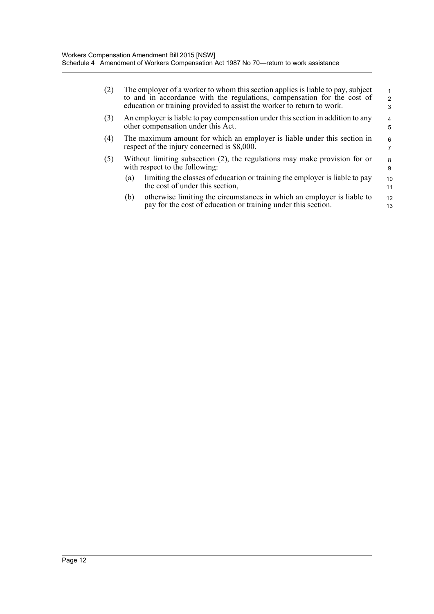| (2) | The employer of a worker to whom this section applies is liable to pay, subject<br>to and in accordance with the regulations, compensation for the cost of<br>education or training provided to assist the worker to return to work. | $\mathcal{P}$<br>3 |  |  |  |  |
|-----|--------------------------------------------------------------------------------------------------------------------------------------------------------------------------------------------------------------------------------------|--------------------|--|--|--|--|
| (3) | An employer is liable to pay compensation under this section in addition to any<br>other compensation under this Act.                                                                                                                |                    |  |  |  |  |
| (4) | The maximum amount for which an employer is liable under this section in<br>respect of the injury concerned is \$8,000.                                                                                                              |                    |  |  |  |  |
| (5) | Without limiting subsection (2), the regulations may make provision for or<br>with respect to the following:                                                                                                                         | 8<br>9             |  |  |  |  |
|     | limiting the classes of education or training the employer is liable to pay<br>(a)<br>the cost of under this section,                                                                                                                | 10<br>11           |  |  |  |  |
|     | otherwise limiting the circumstances in which an employer is liable to<br>(b)<br>pay for the cost of education or training under this section.                                                                                       | 12<br>13           |  |  |  |  |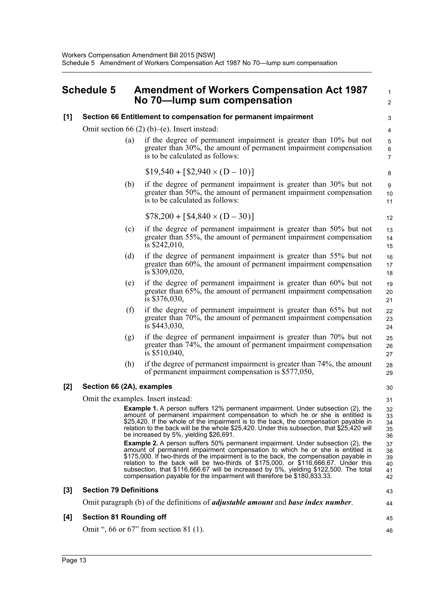## <span id="page-16-0"></span>**Schedule 5 Amendment of Workers Compensation Act 1987 No 70—lump sum compensation**

1

#### **[1] Section 66 Entitlement to compensation for permanent impairment** Omit section 66 (2) (b)–(e). Insert instead: (a) if the degree of permanent impairment is greater than 10% but not greater than 30%, the amount of permanent impairment compensation is to be calculated as follows: (b) if the degree of permanent impairment is greater than 30% but not greater than 50%, the amount of permanent impairment compensation is to be calculated as follows: (c) if the degree of permanent impairment is greater than 50% but not greater than 55%, the amount of permanent impairment compensation is \$242,010, (d) if the degree of permanent impairment is greater than 55% but not greater than 60%, the amount of permanent impairment compensation is \$309,020, (e) if the degree of permanent impairment is greater than 60% but not greater than 65%, the amount of permanent impairment compensation is \$376,030, (f) if the degree of permanent impairment is greater than 65% but not greater than 70%, the amount of permanent impairment compensation is \$443,030, (g) if the degree of permanent impairment is greater than 70% but not greater than 74%, the amount of permanent impairment compensation is \$510,040, (h) if the degree of permanent impairment is greater than 74%, the amount of permanent impairment compensation is \$577,050, **[2] Section 66 (2A), examples** Omit the examples. Insert instead: **Example 1.** A person suffers 12% permanent impairment. Under subsection (2), the amount of permanent impairment compensation to which he or she is entitled is \$25,420. If the whole of the impairment is to the back, the compensation payable in relation to the back will be the whole \$25,420. Under this subsection, that \$25,420 will be increased by 5%, yielding \$26,691. **Example 2.** A person suffers 50% permanent impairment. Under subsection (2), the amount of permanent impairment compensation to which he or she is entitled is \$175,000. If two-thirds of the impairment is to the back, the compensation payable in relation to the back will be two-thirds of \$175,000, or \$116,666.67. Under this subsection, that \$116,666.67 will be increased by 5%, yielding \$122,500. The total compensation payable for the impairment will therefore be \$180,833.33. **[3] Section 79 Definitions** Omit paragraph (b) of the definitions of *adjustable amount* and *base index number*. **[4] Section 81 Rounding off** Omit ", 66 or 67" from section 81 (1).  $\overline{2}$  3 4 5 6 7  $$19,540 + [$2,940 \times (D - 10)]$  9 10 11  $$78,200 + [ $4,840 \times (D - 30) ]$  12 13 14 15 16 17 18 19 20 21 22 23 24  $25$ 26 27 28 29 30 31 32 33 34 35 36 37 38 39 40 41 42 43 44 45 46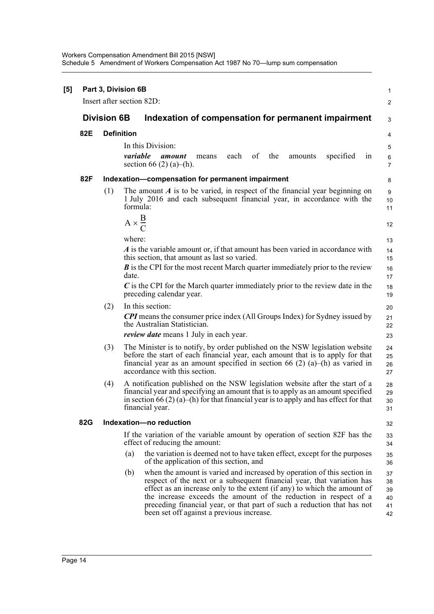Workers Compensation Amendment Bill 2015 [NSW] Schedule 5 Amendment of Workers Compensation Act 1987 No 70—lump sum compensation

| [5] |     |                    | Part 3, Division 6B                                                                                                                                                                                                                                                                                                                                                                 | 1                          |
|-----|-----|--------------------|-------------------------------------------------------------------------------------------------------------------------------------------------------------------------------------------------------------------------------------------------------------------------------------------------------------------------------------------------------------------------------------|----------------------------|
|     |     |                    | Insert after section 82D:                                                                                                                                                                                                                                                                                                                                                           | 2                          |
|     |     | <b>Division 6B</b> | Indexation of compensation for permanent impairment                                                                                                                                                                                                                                                                                                                                 | 3                          |
|     | 82E |                    | <b>Definition</b>                                                                                                                                                                                                                                                                                                                                                                   | 4                          |
|     |     |                    | In this Division:                                                                                                                                                                                                                                                                                                                                                                   | 5                          |
|     |     |                    | variable<br>of<br>specified<br>each<br>the<br>amount<br>amounts<br>in<br>means<br>section 66 (2) (a)–(h).                                                                                                                                                                                                                                                                           | 6<br>$\overline{7}$        |
|     | 82F |                    | Indexation-compensation for permanent impairment                                                                                                                                                                                                                                                                                                                                    | 8                          |
|     |     | (1)                | The amount $A$ is to be varied, in respect of the financial year beginning on<br>1 July 2016 and each subsequent financial year, in accordance with the<br>formula:                                                                                                                                                                                                                 | 9<br>10<br>11              |
|     |     |                    | $A \times \frac{B}{C}$                                                                                                                                                                                                                                                                                                                                                              | 12                         |
|     |     |                    | where:                                                                                                                                                                                                                                                                                                                                                                              | 13                         |
|     |     |                    | A is the variable amount or, if that amount has been varied in accordance with<br>this section, that amount as last so varied.                                                                                                                                                                                                                                                      | 14<br>15                   |
|     |     |                    | $\bm{B}$ is the CPI for the most recent March quarter immediately prior to the review                                                                                                                                                                                                                                                                                               | 16                         |
|     |     |                    | date.                                                                                                                                                                                                                                                                                                                                                                               | 17                         |
|     |     |                    | $\boldsymbol{C}$ is the CPI for the March quarter immediately prior to the review date in the<br>preceding calendar year.                                                                                                                                                                                                                                                           | 18<br>19                   |
|     |     | (2)                | In this section:                                                                                                                                                                                                                                                                                                                                                                    | 20                         |
|     |     |                    | <b>CPI</b> means the consumer price index (All Groups Index) for Sydney issued by<br>the Australian Statistician.                                                                                                                                                                                                                                                                   | 21<br>22                   |
|     |     |                    | <i>review date</i> means 1 July in each year.                                                                                                                                                                                                                                                                                                                                       | 23                         |
|     |     | (3)                | The Minister is to notify, by order published on the NSW legislation website<br>before the start of each financial year, each amount that is to apply for that<br>financial year as an amount specified in section 66 (2) (a)–(h) as varied in<br>accordance with this section.                                                                                                     | 24<br>25<br>26<br>27       |
|     |     | (4)                | A notification published on the NSW legislation website after the start of a<br>financial year and specifying an amount that is to apply as an amount specified<br>in section 66 (2) (a)–(h) for that financial year is to apply and has effect for that<br>financial year.                                                                                                         | 28<br>29<br>30<br>31       |
|     | 82G |                    | Indexation-no reduction                                                                                                                                                                                                                                                                                                                                                             | 32                         |
|     |     |                    | If the variation of the variable amount by operation of section 82F has the<br>effect of reducing the amount:                                                                                                                                                                                                                                                                       | 33<br>34                   |
|     |     |                    | the variation is deemed not to have taken effect, except for the purposes<br>(a)<br>of the application of this section, and                                                                                                                                                                                                                                                         | 35<br>36                   |
|     |     |                    | when the amount is varied and increased by operation of this section in<br>(b)<br>respect of the next or a subsequent financial year, that variation has<br>effect as an increase only to the extent (if any) to which the amount of<br>the increase exceeds the amount of the reduction in respect of a<br>preceding financial year, or that part of such a reduction that has not | 37<br>38<br>39<br>40<br>41 |
|     |     |                    | been set off against a previous increase.                                                                                                                                                                                                                                                                                                                                           | 42                         |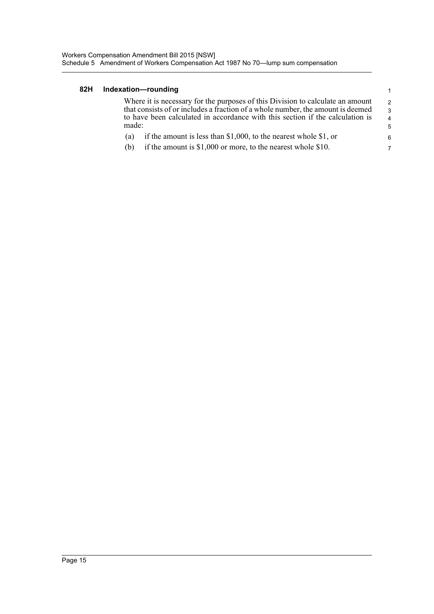#### **82H Indexation—rounding**

Where it is necessary for the purposes of this Division to calculate an amount that consists of or includes a fraction of a whole number, the amount is deemed to have been calculated in accordance with this section if the calculation is made: 2 3 4 5

1

 6 7

- (a) if the amount is less than \$1,000, to the nearest whole \$1, or
- (b) if the amount is \$1,000 or more, to the nearest whole \$10.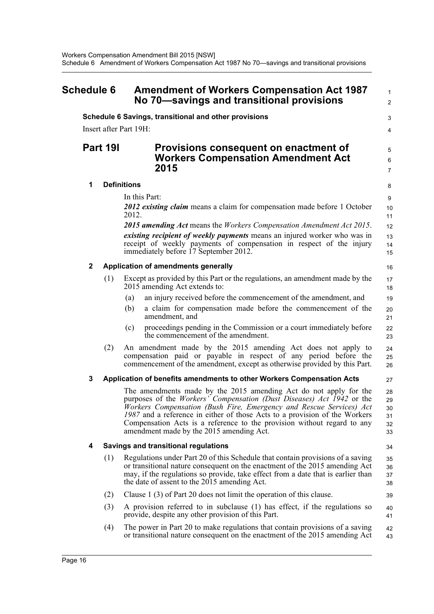<span id="page-19-0"></span>

| Schedule 6 |             |         | <b>Amendment of Workers Compensation Act 1987</b><br>No 70-savings and transitional provisions                                                                                                                                                                                                                                                                                                                                |                                  |
|------------|-------------|---------|-------------------------------------------------------------------------------------------------------------------------------------------------------------------------------------------------------------------------------------------------------------------------------------------------------------------------------------------------------------------------------------------------------------------------------|----------------------------------|
|            |             |         | Schedule 6 Savings, transitional and other provisions                                                                                                                                                                                                                                                                                                                                                                         | 3                                |
|            |             |         | Insert after Part 19H:                                                                                                                                                                                                                                                                                                                                                                                                        | 4                                |
|            |             | Part 19 | Provisions consequent on enactment of<br><b>Workers Compensation Amendment Act</b><br>2015                                                                                                                                                                                                                                                                                                                                    | 5<br>6<br>$\overline{7}$         |
|            | 1           |         | <b>Definitions</b>                                                                                                                                                                                                                                                                                                                                                                                                            | 8                                |
|            |             |         | In this Part:                                                                                                                                                                                                                                                                                                                                                                                                                 | 9                                |
|            |             |         | 2012 existing claim means a claim for compensation made before 1 October<br>2012.                                                                                                                                                                                                                                                                                                                                             | 10<br>11                         |
|            |             |         | 2015 amending Act means the Workers Compensation Amendment Act 2015.                                                                                                                                                                                                                                                                                                                                                          | 12                               |
|            |             |         | <i>existing recipient of weekly payments</i> means an injured worker who was in<br>receipt of weekly payments of compensation in respect of the injury<br>immediately before 17 September 2012.                                                                                                                                                                                                                               | 13<br>14<br>15                   |
|            | $\mathbf 2$ |         | Application of amendments generally                                                                                                                                                                                                                                                                                                                                                                                           | 16                               |
|            |             | (1)     | Except as provided by this Part or the regulations, an amendment made by the<br>2015 amending Act extends to:                                                                                                                                                                                                                                                                                                                 | 17<br>18                         |
|            |             |         | an injury received before the commencement of the amendment, and<br>(a)                                                                                                                                                                                                                                                                                                                                                       | 19                               |
|            |             |         | a claim for compensation made before the commencement of the<br>(b)<br>amendment, and                                                                                                                                                                                                                                                                                                                                         | 20<br>21                         |
|            |             |         | proceedings pending in the Commission or a court immediately before<br>(c)<br>the commencement of the amendment.                                                                                                                                                                                                                                                                                                              | 22<br>23                         |
|            |             | (2)     | An amendment made by the 2015 amending Act does not apply to<br>compensation paid or payable in respect of any period before the<br>commencement of the amendment, except as otherwise provided by this Part.                                                                                                                                                                                                                 | 24<br>25<br>26                   |
|            | 3           |         | Application of benefits amendments to other Workers Compensation Acts                                                                                                                                                                                                                                                                                                                                                         | 27                               |
|            |             |         | The amendments made by the 2015 amending Act do not apply for the<br>purposes of the <i>Workers' Compensation (Dust Diseases) Act 1942</i> or the<br>Workers Compensation (Bush Fire, Emergency and Rescue Services) Act<br>1987 and a reference in either of those Acts to a provision of the Workers<br>Compensation Acts is a reference to the provision without regard to any<br>amendment made by the 2015 amending Act. | 28<br>29<br>30<br>31<br>32<br>33 |
|            | 4           |         | <b>Savings and transitional regulations</b>                                                                                                                                                                                                                                                                                                                                                                                   | 34                               |
|            |             | (1)     | Regulations under Part 20 of this Schedule that contain provisions of a saving<br>or transitional nature consequent on the enactment of the 2015 amending Act<br>may, if the regulations so provide, take effect from a date that is earlier than<br>the date of assent to the 2015 amending Act.                                                                                                                             | 35<br>36<br>37<br>38             |
|            |             | (2)     | Clause 1 (3) of Part 20 does not limit the operation of this clause.                                                                                                                                                                                                                                                                                                                                                          | 39                               |
|            |             | (3)     | A provision referred to in subclause (1) has effect, if the regulations so<br>provide, despite any other provision of this Part.                                                                                                                                                                                                                                                                                              | 40<br>41                         |
|            |             | (4)     | The power in Part 20 to make regulations that contain provisions of a saving<br>or transitional nature consequent on the enactment of the 2015 amending Act                                                                                                                                                                                                                                                                   | 42<br>43                         |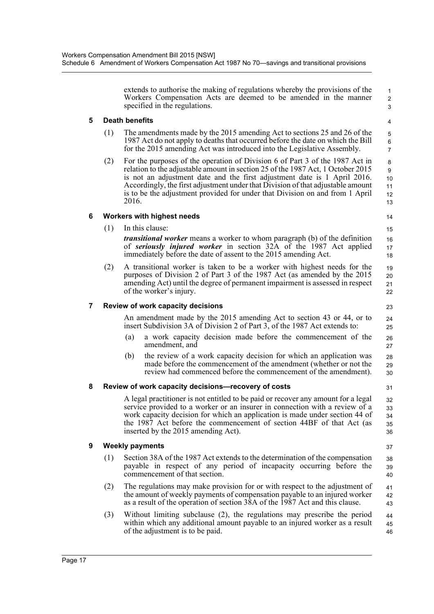extends to authorise the making of regulations whereby the provisions of the Workers Compensation Acts are deemed to be amended in the manner specified in the regulations.

 3 4

 1  $\overline{2}$ 

### **5 Death benefits**

- (1) The amendments made by the 2015 amending Act to sections 25 and 26 of the 1987 Act do not apply to deaths that occurred before the date on which the Bill for the 2015 amending Act was introduced into the Legislative Assembly.
- (2) For the purposes of the operation of Division 6 of Part 3 of the 1987 Act in relation to the adjustable amount in section 25 of the 1987 Act, 1 October 2015 is not an adjustment date and the first adjustment date is 1 April 2016. Accordingly, the first adjustment under that Division of that adjustable amount is to be the adjustment provided for under that Division on and from 1 April 2016.

### **6 Workers with highest needs**

(1) In this clause:

13 14

## 15

- *transitional worker* means a worker to whom paragraph (b) of the definition of *seriously injured worker* in section 32A of the 1987 Act applied immediately before the date of assent to the 2015 amending Act.
- (2) A transitional worker is taken to be a worker with highest needs for the purposes of Division 2 of Part 3 of the 1987 Act (as amended by the 2015 amending Act) until the degree of permanent impairment is assessed in respect of the worker's injury.

### **7 Review of work capacity decisions**

An amendment made by the 2015 amending Act to section 43 or 44, or to insert Subdivision 3A of Division 2 of Part 3, of the 1987 Act extends to:

- (a) a work capacity decision made before the commencement of the amendment, and
- (b) the review of a work capacity decision for which an application was made before the commencement of the amendment (whether or not the review had commenced before the commencement of the amendment). 28 29 30

#### **8 Review of work capacity decisions—recovery of costs**

A legal practitioner is not entitled to be paid or recover any amount for a legal service provided to a worker or an insurer in connection with a review of a work capacity decision for which an application is made under section 44 of the 1987 Act before the commencement of section 44BF of that Act (as inserted by the 2015 amending Act).

#### **9 Weekly payments**

- (1) Section 38A of the 1987 Act extends to the determination of the compensation payable in respect of any period of incapacity occurring before the commencement of that section. 38 39 40
- (2) The regulations may make provision for or with respect to the adjustment of the amount of weekly payments of compensation payable to an injured worker as a result of the operation of section 38A of the 1987 Act and this clause. 41 42 43
- (3) Without limiting subclause (2), the regulations may prescribe the period within which any additional amount payable to an injured worker as a result of the adjustment is to be paid. 44 45 46